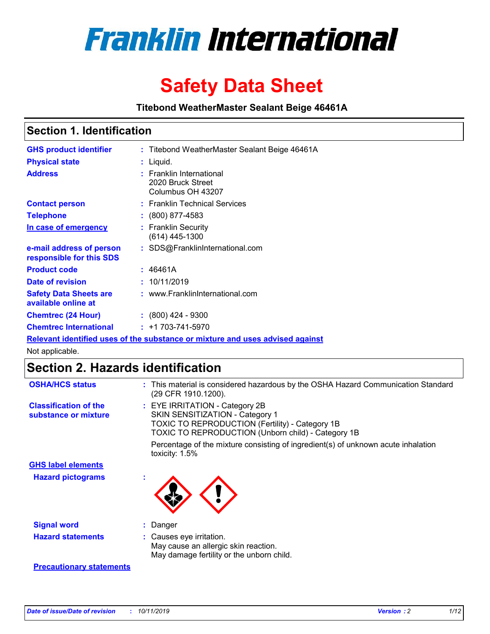

# **Safety Data Sheet**

**Titebond WeatherMaster Sealant Beige 46461A**

### **Section 1. Identification**

| <b>GHS product identifier</b>                                                 |  | : Titebond WeatherMaster Sealant Beige 46461A                           |  |  |
|-------------------------------------------------------------------------------|--|-------------------------------------------------------------------------|--|--|
| <b>Physical state</b>                                                         |  | : Liquid.                                                               |  |  |
| <b>Address</b>                                                                |  | <b>Franklin International</b><br>2020 Bruck Street<br>Columbus OH 43207 |  |  |
| <b>Contact person</b>                                                         |  | : Franklin Technical Services                                           |  |  |
| <b>Telephone</b>                                                              |  | : (800) 877-4583                                                        |  |  |
| In case of emergency                                                          |  | : Franklin Security<br>$(614)$ 445-1300                                 |  |  |
| e-mail address of person<br>responsible for this SDS                          |  | : SDS@FranklinInternational.com                                         |  |  |
| <b>Product code</b>                                                           |  | : 46461A                                                                |  |  |
| Date of revision                                                              |  | : 10/11/2019                                                            |  |  |
| <b>Safety Data Sheets are</b><br>available online at                          |  | : www.FranklinInternational.com                                         |  |  |
| <b>Chemtrec (24 Hour)</b>                                                     |  | $\div$ (800) 424 - 9300                                                 |  |  |
| <b>Chemtrec International</b>                                                 |  | $: +1703 - 741 - 5970$                                                  |  |  |
| Relevant identified uses of the substance or mixture and uses advised against |  |                                                                         |  |  |

Not applicable.

## **Section 2. Hazards identification**

| <b>OSHA/HCS status</b>                               | : This material is considered hazardous by the OSHA Hazard Communication Standard<br>(29 CFR 1910.1200).                                                                                 |
|------------------------------------------------------|------------------------------------------------------------------------------------------------------------------------------------------------------------------------------------------|
| <b>Classification of the</b><br>substance or mixture | : EYE IRRITATION - Category 2B<br>SKIN SENSITIZATION - Category 1<br><b>TOXIC TO REPRODUCTION (Fertility) - Category 1B</b><br><b>TOXIC TO REPRODUCTION (Unborn child) - Category 1B</b> |
|                                                      | Percentage of the mixture consisting of ingredient(s) of unknown acute inhalation<br>toxicity: $1.5\%$                                                                                   |
| <b>GHS label elements</b>                            |                                                                                                                                                                                          |
| <b>Hazard pictograms</b>                             |                                                                                                                                                                                          |
| <b>Signal word</b>                                   | : Danger                                                                                                                                                                                 |
| <b>Hazard statements</b>                             | : Causes eye irritation.<br>May cause an allergic skin reaction.<br>May damage fertility or the unborn child.                                                                            |
| <b>Precautionary statements</b>                      |                                                                                                                                                                                          |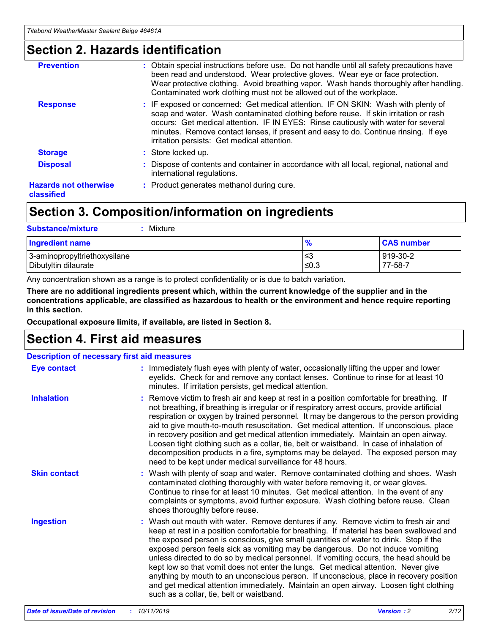### **Section 2. Hazards identification**

| <b>Prevention</b>                          | : Obtain special instructions before use. Do not handle until all safety precautions have<br>been read and understood. Wear protective gloves. Wear eye or face protection.<br>Wear protective clothing. Avoid breathing vapor. Wash hands thoroughly after handling.<br>Contaminated work clothing must not be allowed out of the workplace.                                                        |
|--------------------------------------------|------------------------------------------------------------------------------------------------------------------------------------------------------------------------------------------------------------------------------------------------------------------------------------------------------------------------------------------------------------------------------------------------------|
| <b>Response</b>                            | : IF exposed or concerned: Get medical attention. IF ON SKIN: Wash with plenty of<br>soap and water. Wash contaminated clothing before reuse. If skin irritation or rash<br>occurs: Get medical attention. IF IN EYES: Rinse cautiously with water for several<br>minutes. Remove contact lenses, if present and easy to do. Continue rinsing. If eye<br>irritation persists: Get medical attention. |
| <b>Storage</b>                             | : Store locked up.                                                                                                                                                                                                                                                                                                                                                                                   |
| <b>Disposal</b>                            | : Dispose of contents and container in accordance with all local, regional, national and<br>international regulations.                                                                                                                                                                                                                                                                               |
| <b>Hazards not otherwise</b><br>classified | : Product generates methanol during cure.                                                                                                                                                                                                                                                                                                                                                            |
|                                            |                                                                                                                                                                                                                                                                                                                                                                                                      |

### **Section 3. Composition/information on ingredients**

| <b>Substance/mixture</b><br>Mixture                  |                   |                     |
|------------------------------------------------------|-------------------|---------------------|
| <b>Ingredient name</b>                               | $\frac{9}{6}$     | <b>CAS number</b>   |
| 3-aminopropyltriethoxysilane<br>Dibutyltin dilaurate | l≤3<br>$\leq 0.3$ | 919-30-2<br>77-58-7 |

Any concentration shown as a range is to protect confidentiality or is due to batch variation.

**There are no additional ingredients present which, within the current knowledge of the supplier and in the concentrations applicable, are classified as hazardous to health or the environment and hence require reporting in this section.**

**Occupational exposure limits, if available, are listed in Section 8.**

### **Section 4. First aid measures**

| <b>Description of necessary first aid measures</b> |                                                                                                                                                                                                                                                                                                                                                                                                                                                                                                                                                                                                                                                                                                                                                                           |  |  |  |
|----------------------------------------------------|---------------------------------------------------------------------------------------------------------------------------------------------------------------------------------------------------------------------------------------------------------------------------------------------------------------------------------------------------------------------------------------------------------------------------------------------------------------------------------------------------------------------------------------------------------------------------------------------------------------------------------------------------------------------------------------------------------------------------------------------------------------------------|--|--|--|
| <b>Eye contact</b>                                 | : Immediately flush eyes with plenty of water, occasionally lifting the upper and lower<br>eyelids. Check for and remove any contact lenses. Continue to rinse for at least 10<br>minutes. If irritation persists, get medical attention.                                                                                                                                                                                                                                                                                                                                                                                                                                                                                                                                 |  |  |  |
| <b>Inhalation</b>                                  | : Remove victim to fresh air and keep at rest in a position comfortable for breathing. If<br>not breathing, if breathing is irregular or if respiratory arrest occurs, provide artificial<br>respiration or oxygen by trained personnel. It may be dangerous to the person providing<br>aid to give mouth-to-mouth resuscitation. Get medical attention. If unconscious, place<br>in recovery position and get medical attention immediately. Maintain an open airway.<br>Loosen tight clothing such as a collar, tie, belt or waistband. In case of inhalation of<br>decomposition products in a fire, symptoms may be delayed. The exposed person may<br>need to be kept under medical surveillance for 48 hours.                                                       |  |  |  |
| <b>Skin contact</b>                                | : Wash with plenty of soap and water. Remove contaminated clothing and shoes. Wash<br>contaminated clothing thoroughly with water before removing it, or wear gloves.<br>Continue to rinse for at least 10 minutes. Get medical attention. In the event of any<br>complaints or symptoms, avoid further exposure. Wash clothing before reuse. Clean<br>shoes thoroughly before reuse.                                                                                                                                                                                                                                                                                                                                                                                     |  |  |  |
| <b>Ingestion</b>                                   | : Wash out mouth with water. Remove dentures if any. Remove victim to fresh air and<br>keep at rest in a position comfortable for breathing. If material has been swallowed and<br>the exposed person is conscious, give small quantities of water to drink. Stop if the<br>exposed person feels sick as vomiting may be dangerous. Do not induce vomiting<br>unless directed to do so by medical personnel. If vomiting occurs, the head should be<br>kept low so that vomit does not enter the lungs. Get medical attention. Never give<br>anything by mouth to an unconscious person. If unconscious, place in recovery position<br>and get medical attention immediately. Maintain an open airway. Loosen tight clothing<br>such as a collar, tie, belt or waistband. |  |  |  |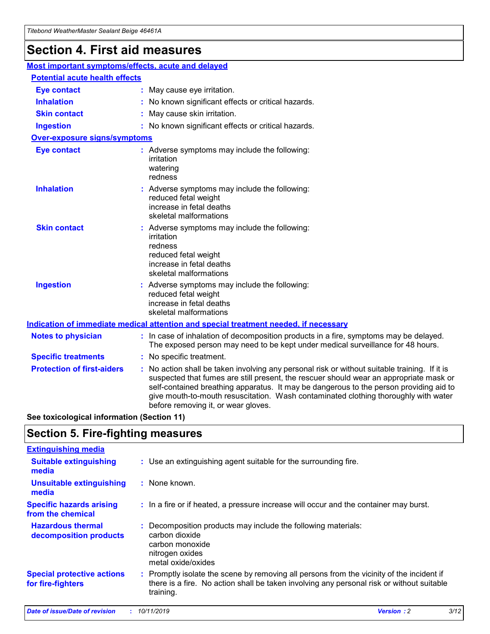## **Section 4. First aid measures**

| Most important symptoms/effects, acute and delayed |                                                                                                                                                                                                                                                                                                                                                                                                                 |  |
|----------------------------------------------------|-----------------------------------------------------------------------------------------------------------------------------------------------------------------------------------------------------------------------------------------------------------------------------------------------------------------------------------------------------------------------------------------------------------------|--|
| <b>Potential acute health effects</b>              |                                                                                                                                                                                                                                                                                                                                                                                                                 |  |
| <b>Eye contact</b>                                 | : May cause eye irritation.                                                                                                                                                                                                                                                                                                                                                                                     |  |
| <b>Inhalation</b>                                  | : No known significant effects or critical hazards.                                                                                                                                                                                                                                                                                                                                                             |  |
| <b>Skin contact</b>                                | : May cause skin irritation.                                                                                                                                                                                                                                                                                                                                                                                    |  |
| <b>Ingestion</b>                                   | : No known significant effects or critical hazards.                                                                                                                                                                                                                                                                                                                                                             |  |
| <b>Over-exposure signs/symptoms</b>                |                                                                                                                                                                                                                                                                                                                                                                                                                 |  |
| <b>Eye contact</b>                                 | : Adverse symptoms may include the following:<br>irritation<br>watering<br>redness                                                                                                                                                                                                                                                                                                                              |  |
| <b>Inhalation</b>                                  | : Adverse symptoms may include the following:<br>reduced fetal weight<br>increase in fetal deaths<br>skeletal malformations                                                                                                                                                                                                                                                                                     |  |
| <b>Skin contact</b>                                | : Adverse symptoms may include the following:<br>irritation<br>redness<br>reduced fetal weight<br>increase in fetal deaths<br>skeletal malformations                                                                                                                                                                                                                                                            |  |
| <b>Ingestion</b>                                   | : Adverse symptoms may include the following:<br>reduced fetal weight<br>increase in fetal deaths<br>skeletal malformations                                                                                                                                                                                                                                                                                     |  |
|                                                    | <b>Indication of immediate medical attention and special treatment needed, if necessary</b>                                                                                                                                                                                                                                                                                                                     |  |
| <b>Notes to physician</b>                          | : In case of inhalation of decomposition products in a fire, symptoms may be delayed.<br>The exposed person may need to be kept under medical surveillance for 48 hours.                                                                                                                                                                                                                                        |  |
| <b>Specific treatments</b>                         | : No specific treatment.                                                                                                                                                                                                                                                                                                                                                                                        |  |
| <b>Protection of first-aiders</b>                  | : No action shall be taken involving any personal risk or without suitable training. If it is<br>suspected that fumes are still present, the rescuer should wear an appropriate mask or<br>self-contained breathing apparatus. It may be dangerous to the person providing aid to<br>give mouth-to-mouth resuscitation. Wash contaminated clothing thoroughly with water<br>before removing it, or wear gloves. |  |

**See toxicological information (Section 11)**

### **Section 5. Fire-fighting measures**

| <b>Extinguishing media</b>                             |                                                                                                                                                                                                     |
|--------------------------------------------------------|-----------------------------------------------------------------------------------------------------------------------------------------------------------------------------------------------------|
| <b>Suitable extinguishing</b><br>media                 | : Use an extinguishing agent suitable for the surrounding fire.                                                                                                                                     |
| <b>Unsuitable extinguishing</b><br>media               | : None known.                                                                                                                                                                                       |
| <b>Specific hazards arising</b><br>from the chemical   | : In a fire or if heated, a pressure increase will occur and the container may burst.                                                                                                               |
| <b>Hazardous thermal</b><br>decomposition products     | : Decomposition products may include the following materials:<br>carbon dioxide<br>carbon monoxide<br>nitrogen oxides<br>metal oxide/oxides                                                         |
| <b>Special protective actions</b><br>for fire-fighters | : Promptly isolate the scene by removing all persons from the vicinity of the incident if<br>there is a fire. No action shall be taken involving any personal risk or without suitable<br>training. |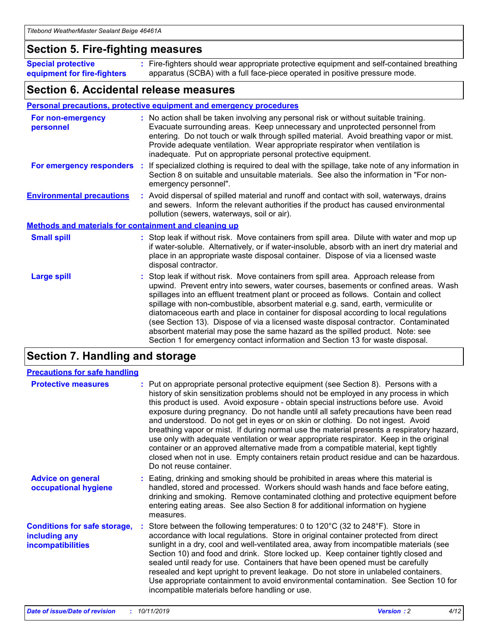### **Section 5. Fire-fighting measures**

**Special protective equipment for fire-fighters** Fire-fighters should wear appropriate protective equipment and self-contained breathing **:** apparatus (SCBA) with a full face-piece operated in positive pressure mode.

### **Section 6. Accidental release measures**

#### **Personal precautions, protective equipment and emergency procedures**

| For non-emergency<br>personnel                               | : No action shall be taken involving any personal risk or without suitable training.<br>Evacuate surrounding areas. Keep unnecessary and unprotected personnel from<br>entering. Do not touch or walk through spilled material. Avoid breathing vapor or mist.<br>Provide adequate ventilation. Wear appropriate respirator when ventilation is<br>inadequate. Put on appropriate personal protective equipment.                                                                                                                                                                                                                                                                                             |  |  |
|--------------------------------------------------------------|--------------------------------------------------------------------------------------------------------------------------------------------------------------------------------------------------------------------------------------------------------------------------------------------------------------------------------------------------------------------------------------------------------------------------------------------------------------------------------------------------------------------------------------------------------------------------------------------------------------------------------------------------------------------------------------------------------------|--|--|
|                                                              | For emergency responders : If specialized clothing is required to deal with the spillage, take note of any information in<br>Section 8 on suitable and unsuitable materials. See also the information in "For non-<br>emergency personnel".                                                                                                                                                                                                                                                                                                                                                                                                                                                                  |  |  |
| <b>Environmental precautions</b>                             | : Avoid dispersal of spilled material and runoff and contact with soil, waterways, drains<br>and sewers. Inform the relevant authorities if the product has caused environmental<br>pollution (sewers, waterways, soil or air).                                                                                                                                                                                                                                                                                                                                                                                                                                                                              |  |  |
| <b>Methods and materials for containment and cleaning up</b> |                                                                                                                                                                                                                                                                                                                                                                                                                                                                                                                                                                                                                                                                                                              |  |  |
| <b>Small spill</b>                                           | : Stop leak if without risk. Move containers from spill area. Dilute with water and mop up<br>if water-soluble. Alternatively, or if water-insoluble, absorb with an inert dry material and<br>place in an appropriate waste disposal container. Dispose of via a licensed waste<br>disposal contractor.                                                                                                                                                                                                                                                                                                                                                                                                     |  |  |
| <b>Large spill</b>                                           | : Stop leak if without risk. Move containers from spill area. Approach release from<br>upwind. Prevent entry into sewers, water courses, basements or confined areas. Wash<br>spillages into an effluent treatment plant or proceed as follows. Contain and collect<br>spillage with non-combustible, absorbent material e.g. sand, earth, vermiculite or<br>diatomaceous earth and place in container for disposal according to local regulations<br>(see Section 13). Dispose of via a licensed waste disposal contractor. Contaminated<br>absorbent material may pose the same hazard as the spilled product. Note: see<br>Section 1 for emergency contact information and Section 13 for waste disposal. |  |  |

### **Section 7. Handling and storage**

| <b>Precautions for safe handling</b>                                             |                                                                                                                                                                                                                                                                                                                                                                                                                                                                                                                                                                                                                                                                                                                                                                                                                                                  |
|----------------------------------------------------------------------------------|--------------------------------------------------------------------------------------------------------------------------------------------------------------------------------------------------------------------------------------------------------------------------------------------------------------------------------------------------------------------------------------------------------------------------------------------------------------------------------------------------------------------------------------------------------------------------------------------------------------------------------------------------------------------------------------------------------------------------------------------------------------------------------------------------------------------------------------------------|
| <b>Protective measures</b>                                                       | : Put on appropriate personal protective equipment (see Section 8). Persons with a<br>history of skin sensitization problems should not be employed in any process in which<br>this product is used. Avoid exposure - obtain special instructions before use. Avoid<br>exposure during pregnancy. Do not handle until all safety precautions have been read<br>and understood. Do not get in eyes or on skin or clothing. Do not ingest. Avoid<br>breathing vapor or mist. If during normal use the material presents a respiratory hazard,<br>use only with adequate ventilation or wear appropriate respirator. Keep in the original<br>container or an approved alternative made from a compatible material, kept tightly<br>closed when not in use. Empty containers retain product residue and can be hazardous.<br>Do not reuse container. |
| <b>Advice on general</b><br>occupational hygiene                                 | : Eating, drinking and smoking should be prohibited in areas where this material is<br>handled, stored and processed. Workers should wash hands and face before eating,<br>drinking and smoking. Remove contaminated clothing and protective equipment before<br>entering eating areas. See also Section 8 for additional information on hygiene<br>measures.                                                                                                                                                                                                                                                                                                                                                                                                                                                                                    |
| <b>Conditions for safe storage,</b><br>including any<br><b>incompatibilities</b> | Store between the following temperatures: 0 to $120^{\circ}$ C (32 to $248^{\circ}$ F). Store in<br>accordance with local regulations. Store in original container protected from direct<br>sunlight in a dry, cool and well-ventilated area, away from incompatible materials (see<br>Section 10) and food and drink. Store locked up. Keep container tightly closed and<br>sealed until ready for use. Containers that have been opened must be carefully<br>resealed and kept upright to prevent leakage. Do not store in unlabeled containers.<br>Use appropriate containment to avoid environmental contamination. See Section 10 for<br>incompatible materials before handling or use.                                                                                                                                                     |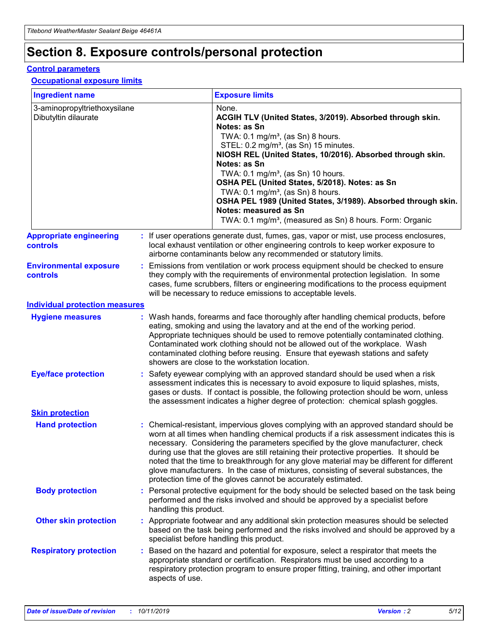## **Section 8. Exposure controls/personal protection**

#### **Control parameters**

#### **Occupational exposure limits**

| <b>Ingredient name</b>                               |    |                        | <b>Exposure limits</b>                                                                                                                                                                                                                                                                                                                                                                                                                                                                                                                                                                                                 |
|------------------------------------------------------|----|------------------------|------------------------------------------------------------------------------------------------------------------------------------------------------------------------------------------------------------------------------------------------------------------------------------------------------------------------------------------------------------------------------------------------------------------------------------------------------------------------------------------------------------------------------------------------------------------------------------------------------------------------|
| 3-aminopropyltriethoxysilane<br>Dibutyltin dilaurate |    |                        | None.<br>ACGIH TLV (United States, 3/2019). Absorbed through skin.<br>Notes: as Sn<br>TWA: $0.1 \text{ mg/m}^3$ , (as Sn) 8 hours.<br>STEL: 0.2 mg/m <sup>3</sup> , (as Sn) 15 minutes.<br>NIOSH REL (United States, 10/2016). Absorbed through skin.<br>Notes: as Sn<br>TWA: 0.1 mg/m <sup>3</sup> , (as Sn) 10 hours.<br>OSHA PEL (United States, 5/2018). Notes: as Sn<br>TWA: $0.1 \text{ mg/m}^3$ , (as Sn) 8 hours.<br>OSHA PEL 1989 (United States, 3/1989). Absorbed through skin.<br>Notes: measured as Sn<br>TWA: 0.1 mg/m <sup>3</sup> , (measured as Sn) 8 hours. Form: Organic                            |
| <b>Appropriate engineering</b><br>controls           |    |                        | : If user operations generate dust, fumes, gas, vapor or mist, use process enclosures,<br>local exhaust ventilation or other engineering controls to keep worker exposure to<br>airborne contaminants below any recommended or statutory limits.                                                                                                                                                                                                                                                                                                                                                                       |
| <b>Environmental exposure</b><br>controls            |    |                        | Emissions from ventilation or work process equipment should be checked to ensure<br>they comply with the requirements of environmental protection legislation. In some<br>cases, fume scrubbers, filters or engineering modifications to the process equipment<br>will be necessary to reduce emissions to acceptable levels.                                                                                                                                                                                                                                                                                          |
| <b>Individual protection measures</b>                |    |                        |                                                                                                                                                                                                                                                                                                                                                                                                                                                                                                                                                                                                                        |
| <b>Hygiene measures</b>                              |    |                        | : Wash hands, forearms and face thoroughly after handling chemical products, before<br>eating, smoking and using the lavatory and at the end of the working period.<br>Appropriate techniques should be used to remove potentially contaminated clothing.<br>Contaminated work clothing should not be allowed out of the workplace. Wash<br>contaminated clothing before reusing. Ensure that eyewash stations and safety<br>showers are close to the workstation location.                                                                                                                                            |
| <b>Eye/face protection</b>                           |    |                        | : Safety eyewear complying with an approved standard should be used when a risk<br>assessment indicates this is necessary to avoid exposure to liquid splashes, mists,<br>gases or dusts. If contact is possible, the following protection should be worn, unless<br>the assessment indicates a higher degree of protection: chemical splash goggles.                                                                                                                                                                                                                                                                  |
| <b>Skin protection</b>                               |    |                        |                                                                                                                                                                                                                                                                                                                                                                                                                                                                                                                                                                                                                        |
| <b>Hand protection</b>                               |    |                        | : Chemical-resistant, impervious gloves complying with an approved standard should be<br>worn at all times when handling chemical products if a risk assessment indicates this is<br>necessary. Considering the parameters specified by the glove manufacturer, check<br>during use that the gloves are still retaining their protective properties. It should be<br>noted that the time to breakthrough for any glove material may be different for different<br>glove manufacturers. In the case of mixtures, consisting of several substances, the<br>protection time of the gloves cannot be accurately estimated. |
| <b>Body protection</b>                               |    | handling this product. | Personal protective equipment for the body should be selected based on the task being<br>performed and the risks involved and should be approved by a specialist before                                                                                                                                                                                                                                                                                                                                                                                                                                                |
| <b>Other skin protection</b>                         |    |                        | : Appropriate footwear and any additional skin protection measures should be selected<br>based on the task being performed and the risks involved and should be approved by a<br>specialist before handling this product.                                                                                                                                                                                                                                                                                                                                                                                              |
| <b>Respiratory protection</b>                        | ÷. | aspects of use.        | Based on the hazard and potential for exposure, select a respirator that meets the<br>appropriate standard or certification. Respirators must be used according to a<br>respiratory protection program to ensure proper fitting, training, and other important                                                                                                                                                                                                                                                                                                                                                         |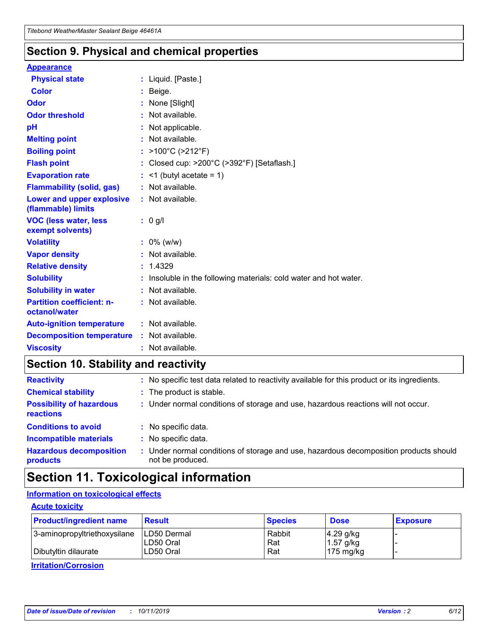### **Section 9. Physical and chemical properties**

#### **Appearance**

| <b>Physical state</b>                             | : Liquid. [Paste.]                                                |
|---------------------------------------------------|-------------------------------------------------------------------|
| Color                                             | Beige.                                                            |
| Odor                                              | None [Slight]                                                     |
| <b>Odor threshold</b>                             | : Not available.                                                  |
| рH                                                | : Not applicable.                                                 |
| <b>Melting point</b>                              | : Not available.                                                  |
| <b>Boiling point</b>                              | : $>100^{\circ}$ C ( $>212^{\circ}$ F)                            |
| <b>Flash point</b>                                | : Closed cup: $>200^{\circ}$ C ( $>392^{\circ}$ F) [Setaflash.]   |
| <b>Evaporation rate</b>                           | $:$ <1 (butyl acetate = 1)                                        |
| <b>Flammability (solid, gas)</b>                  | : Not available.                                                  |
| Lower and upper explosive<br>(flammable) limits   | : Not available.                                                  |
| <b>VOC (less water, less</b><br>exempt solvents)  | $: 0$ g/l                                                         |
| <b>Volatility</b>                                 | $: 0\%$ (w/w)                                                     |
| <b>Vapor density</b>                              | : Not available.                                                  |
| <b>Relative density</b>                           | : 1.4329                                                          |
| <b>Solubility</b>                                 | : Insoluble in the following materials: cold water and hot water. |
| <b>Solubility in water</b>                        | : Not available.                                                  |
| <b>Partition coefficient: n-</b><br>octanol/water | : Not available.                                                  |
| <b>Auto-ignition temperature</b>                  | : Not available.                                                  |
| <b>Decomposition temperature</b>                  | : Not available.                                                  |
| <b>Viscosity</b>                                  | : Not available.                                                  |

### **Section 10. Stability and reactivity**

| <b>Reactivity</b>                            |    | : No specific test data related to reactivity available for this product or its ingredients.            |
|----------------------------------------------|----|---------------------------------------------------------------------------------------------------------|
| <b>Chemical stability</b>                    |    | : The product is stable.                                                                                |
| <b>Possibility of hazardous</b><br>reactions |    | : Under normal conditions of storage and use, hazardous reactions will not occur.                       |
| <b>Conditions to avoid</b>                   |    | : No specific data.                                                                                     |
| <b>Incompatible materials</b>                |    | : No specific data.                                                                                     |
| <b>Hazardous decomposition</b><br>products   | ÷. | Under normal conditions of storage and use, hazardous decomposition products should<br>not be produced. |

## **Section 11. Toxicological information**

### **Information on toxicological effects**

#### **Acute toxicity**

| <b>Product/ingredient name</b> | <b>Result</b>           | <b>Species</b> | <b>Dose</b>                | <b>Exposure</b> |
|--------------------------------|-------------------------|----------------|----------------------------|-----------------|
| 3-aminopropyltriethoxysilane   | <b>ILD50 Dermal</b>     | Rabbit         | 4.29 g/kg                  |                 |
| Dibutyltin dilaurate           | ILD50 Oral<br>LD50 Oral | Rat<br>Rat     | $1.57$ g/kg<br>175 $mg/kg$ |                 |
|                                |                         |                |                            |                 |

**Irritation/Corrosion**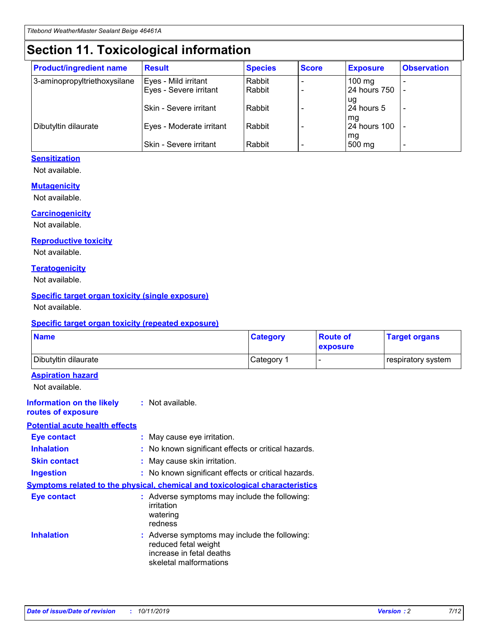## **Section 11. Toxicological information**

| <b>Product/ingredient name</b> | <b>Result</b>            | <b>Species</b> | <b>Score</b> | <b>Exposure</b>           | <b>Observation</b> |
|--------------------------------|--------------------------|----------------|--------------|---------------------------|--------------------|
| 3-aminopropyltriethoxysilane   | Eyes - Mild irritant     | Rabbit         |              | $100$ mg                  |                    |
|                                | Eyes - Severe irritant   | Rabbit         |              | 24 hours 750              |                    |
|                                |                          |                |              | ug                        |                    |
|                                | Skin - Severe irritant   | Rabbit         |              | 24 hours 5                | -                  |
| Dibutyltin dilaurate           | Eyes - Moderate irritant | Rabbit         |              | mq<br><b>24 hours 100</b> |                    |
|                                |                          |                |              | mg                        |                    |
|                                | Skin - Severe irritant   | Rabbit         |              | 500 mg                    |                    |

### **Sensitization**

Not available.

#### **Mutagenicity**

Not available.

#### **Carcinogenicity**

Not available.

#### **Reproductive toxicity**

Not available.

#### **Teratogenicity**

Not available.

#### **Specific target organ toxicity (single exposure)**

Not available.

#### **Specific target organ toxicity (repeated exposure)**

| <b>Name</b>                                                                  |                                                                            | <b>Category</b>                                     | <b>Route of</b><br>exposure | <b>Target organs</b> |
|------------------------------------------------------------------------------|----------------------------------------------------------------------------|-----------------------------------------------------|-----------------------------|----------------------|
| Dibutyltin dilaurate                                                         |                                                                            | Category 1                                          | -                           | respiratory system   |
| <b>Aspiration hazard</b><br>Not available.                                   |                                                                            |                                                     |                             |                      |
| <b>Information on the likely</b><br>routes of exposure                       | : Not available.                                                           |                                                     |                             |                      |
| <b>Potential acute health effects</b>                                        |                                                                            |                                                     |                             |                      |
| <b>Eye contact</b>                                                           | : May cause eye irritation.                                                |                                                     |                             |                      |
| <b>Inhalation</b>                                                            |                                                                            | : No known significant effects or critical hazards. |                             |                      |
| <b>Skin contact</b>                                                          | : May cause skin irritation.                                               |                                                     |                             |                      |
| <b>Ingestion</b>                                                             |                                                                            | : No known significant effects or critical hazards. |                             |                      |
| Symptoms related to the physical, chemical and toxicological characteristics |                                                                            |                                                     |                             |                      |
| <b>Eye contact</b>                                                           | irritation<br>watering<br>redness                                          | : Adverse symptoms may include the following:       |                             |                      |
| <b>Inhalation</b>                                                            | reduced fetal weight<br>increase in fetal deaths<br>skeletal malformations | : Adverse symptoms may include the following:       |                             |                      |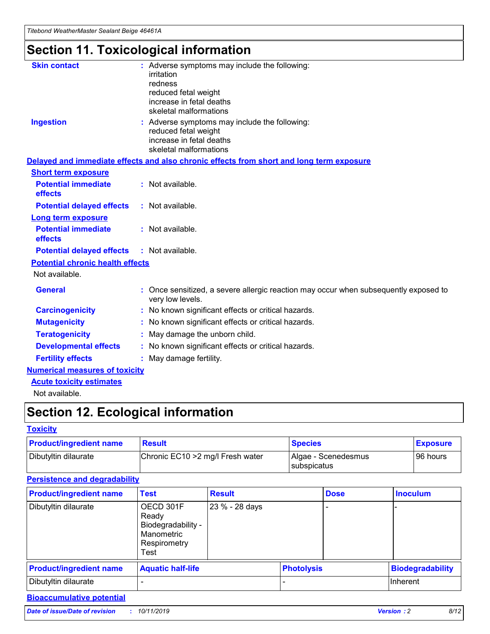## **Section 11. Toxicological information**

| <b>Skin contact</b>                     |                                                                                                          |
|-----------------------------------------|----------------------------------------------------------------------------------------------------------|
|                                         | : Adverse symptoms may include the following:<br>irritation                                              |
|                                         | redness                                                                                                  |
|                                         | reduced fetal weight                                                                                     |
|                                         | increase in fetal deaths                                                                                 |
|                                         | skeletal malformations                                                                                   |
| <b>Ingestion</b>                        | : Adverse symptoms may include the following:                                                            |
|                                         | reduced fetal weight                                                                                     |
|                                         | increase in fetal deaths                                                                                 |
|                                         | skeletal malformations                                                                                   |
|                                         | Delayed and immediate effects and also chronic effects from short and long term exposure                 |
| <b>Short term exposure</b>              |                                                                                                          |
| <b>Potential immediate</b>              | : Not available.                                                                                         |
| effects                                 |                                                                                                          |
| <b>Potential delayed effects</b>        | : Not available.                                                                                         |
| <b>Long term exposure</b>               |                                                                                                          |
| <b>Potential immediate</b>              | : Not available.                                                                                         |
| effects                                 |                                                                                                          |
| <b>Potential delayed effects</b>        | : Not available.                                                                                         |
| <b>Potential chronic health effects</b> |                                                                                                          |
| Not available.                          |                                                                                                          |
| <b>General</b>                          | : Once sensitized, a severe allergic reaction may occur when subsequently exposed to<br>very low levels. |
| <b>Carcinogenicity</b>                  | : No known significant effects or critical hazards.                                                      |
| <b>Mutagenicity</b>                     | No known significant effects or critical hazards.                                                        |
| <b>Teratogenicity</b>                   | May damage the unborn child.                                                                             |
| <b>Developmental effects</b>            | No known significant effects or critical hazards.                                                        |
| <b>Fertility effects</b>                | : May damage fertility.                                                                                  |
| <b>Numerical measures of toxicity</b>   |                                                                                                          |
| <b>Acute toxicity estimates</b>         |                                                                                                          |
|                                         |                                                                                                          |

Not available.

## **Section 12. Ecological information**

#### **Toxicity**

| <b>Product/ingredient name</b> | <b>Result</b>                     | <b>Species</b>                       | <b>Exposure</b> |
|--------------------------------|-----------------------------------|--------------------------------------|-----------------|
| Dibutyltin dilaurate           | Chronic EC10 > 2 mg/l Fresh water | Algae - Scenedesmus<br>I subspicatus | l 96 hours      |

### **Persistence and degradability**

| <b>Product/ingredient name</b> | <b>Test</b>                                                                    | <b>Result</b>  |                   | <b>Dose</b> | <b>Inoculum</b>         |
|--------------------------------|--------------------------------------------------------------------------------|----------------|-------------------|-------------|-------------------------|
| Dibutyltin dilaurate           | OECD 301F<br>Ready<br>Biodegradability -<br>Manometric<br>Respirometry<br>Test | 23 % - 28 days |                   |             |                         |
| <b>Product/ingredient name</b> | <b>Aquatic half-life</b>                                                       |                | <b>Photolysis</b> |             | <b>Biodegradability</b> |
| Dibutyltin dilaurate           |                                                                                |                |                   |             | Inherent                |

### **Bioaccumulative potential**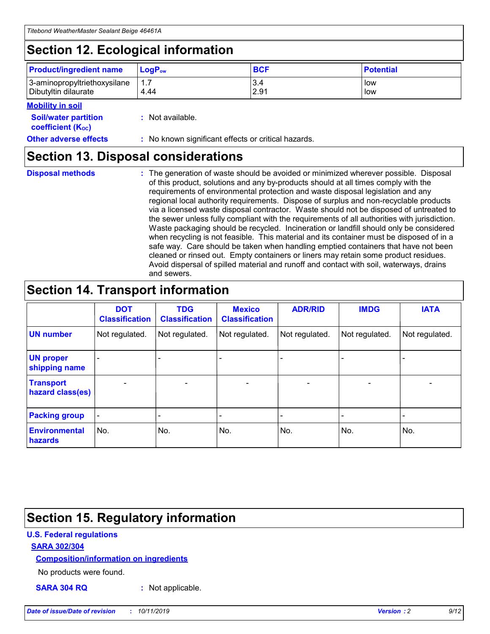## **Section 12. Ecological information**

| <b>Product/ingredient name</b> | $LoaPow$ | <b>BCF</b> | <b>Potential</b> |
|--------------------------------|----------|------------|------------------|
| 3-aminopropyltriethoxysilane   | 1.7      | 3.4        | low              |
| Dibutyltin dilaurate           | 4.44     | 2.91       | low              |

#### **Mobility in soil**

| <i></i>                                                       |                                                     |
|---------------------------------------------------------------|-----------------------------------------------------|
| <b>Soil/water partition</b><br>coefficient (K <sub>oc</sub> ) | : Not available.                                    |
| <b>Other adverse effects</b>                                  | : No known significant effects or critical hazards. |

### **Section 13. Disposal considerations**

**Disposal methods :**

The generation of waste should be avoided or minimized wherever possible. Disposal of this product, solutions and any by-products should at all times comply with the requirements of environmental protection and waste disposal legislation and any regional local authority requirements. Dispose of surplus and non-recyclable products via a licensed waste disposal contractor. Waste should not be disposed of untreated to the sewer unless fully compliant with the requirements of all authorities with jurisdiction. Waste packaging should be recycled. Incineration or landfill should only be considered when recycling is not feasible. This material and its container must be disposed of in a safe way. Care should be taken when handling emptied containers that have not been cleaned or rinsed out. Empty containers or liners may retain some product residues. Avoid dispersal of spilled material and runoff and contact with soil, waterways, drains and sewers.

## **Section 14. Transport information**

|                                      | <b>DOT</b><br><b>Classification</b> | <b>TDG</b><br><b>Classification</b> | <b>Mexico</b><br><b>Classification</b> | <b>ADR/RID</b>           | <b>IMDG</b>     | <b>IATA</b>              |
|--------------------------------------|-------------------------------------|-------------------------------------|----------------------------------------|--------------------------|-----------------|--------------------------|
| <b>UN number</b>                     | Not regulated.                      | Not regulated.                      | Not regulated.                         | Not regulated.           | Not regulated.  | Not regulated.           |
| <b>UN proper</b><br>shipping name    | $\qquad \qquad \blacksquare$        |                                     |                                        |                          |                 |                          |
| <b>Transport</b><br>hazard class(es) | $\overline{\phantom{0}}$            | $\qquad \qquad$                     | $\qquad \qquad$                        | $\overline{\phantom{a}}$ | $\qquad \qquad$ | $\overline{\phantom{0}}$ |
| <b>Packing group</b>                 | $\overline{\phantom{a}}$            | -                                   |                                        |                          |                 |                          |
| <b>Environmental</b><br>hazards      | No.                                 | No.                                 | No.                                    | No.                      | No.             | No.                      |

## **Section 15. Regulatory information**

#### **U.S. Federal regulations**

#### **SARA 302/304**

#### **Composition/information on ingredients**

No products were found.

**SARA 304 RQ :** Not applicable.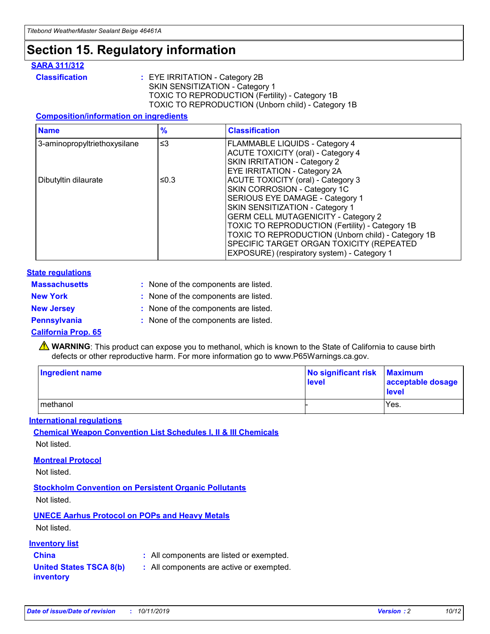## **Section 15. Regulatory information**

#### **SARA 311/312**

**Classification :** EYE IRRITATION - Category 2B SKIN SENSITIZATION - Category 1 TOXIC TO REPRODUCTION (Fertility) - Category 1B TOXIC TO REPRODUCTION (Unborn child) - Category 1B

#### **Composition/information on ingredients**

| <b>Name</b>                  | $\frac{9}{6}$ | <b>Classification</b>                                                                                            |
|------------------------------|---------------|------------------------------------------------------------------------------------------------------------------|
| 3-aminopropyltriethoxysilane | $\leq$ 3      | <b>FLAMMABLE LIQUIDS - Category 4</b><br><b>ACUTE TOXICITY (oral) - Category 4</b>                               |
|                              |               | SKIN IRRITATION - Category 2<br>EYE IRRITATION - Category 2A                                                     |
| Dibutyltin dilaurate         | ≤0.3          | ACUTE TOXICITY (oral) - Category 3<br>SKIN CORROSION - Category 1C                                               |
|                              |               | SERIOUS EYE DAMAGE - Category 1<br>SKIN SENSITIZATION - Category 1<br><b>GERM CELL MUTAGENICITY - Category 2</b> |
|                              |               | TOXIC TO REPRODUCTION (Fertility) - Category 1B<br>TOXIC TO REPRODUCTION (Unborn child) - Category 1B            |
|                              |               | SPECIFIC TARGET ORGAN TOXICITY (REPEATED<br>EXPOSURE) (respiratory system) - Category 1                          |

#### **State regulations**

| <b>Massachusetts</b> | : None of the components are listed. |
|----------------------|--------------------------------------|
| <b>New York</b>      | : None of the components are listed. |
| <b>New Jersey</b>    | : None of the components are listed. |
| <b>Pennsylvania</b>  | : None of the components are listed. |

#### **California Prop. 65**

**A** WARNING: This product can expose you to methanol, which is known to the State of California to cause birth defects or other reproductive harm. For more information go to www.P65Warnings.ca.gov.

| <b>Ingredient name</b> | No significant risk Maximum<br>level | acceptable dosage<br>level |
|------------------------|--------------------------------------|----------------------------|
| methanol               |                                      | Yes.                       |

#### **International regulations**

**Chemical Weapon Convention List Schedules I, II & III Chemicals** Not listed.

#### **Montreal Protocol**

Not listed.

#### **Stockholm Convention on Persistent Organic Pollutants**

Not listed.

### **UNECE Aarhus Protocol on POPs and Heavy Metals**

Not listed.

#### **Inventory list**

### **China :** All components are listed or exempted.

**United States TSCA 8(b) inventory :** All components are active or exempted.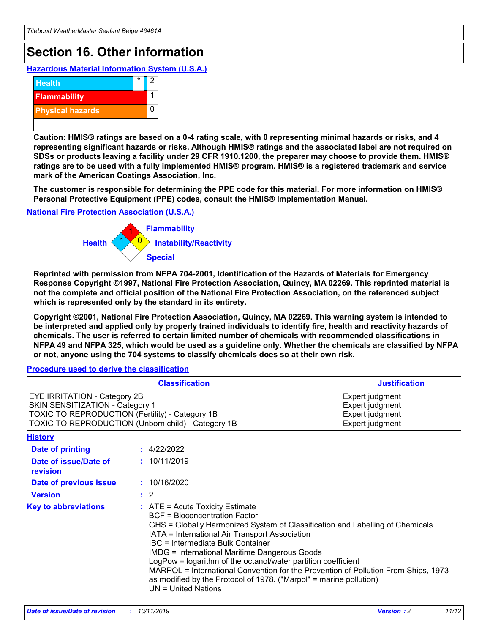## **Section 16. Other information**

**Hazardous Material Information System (U.S.A.)**



**Caution: HMIS® ratings are based on a 0-4 rating scale, with 0 representing minimal hazards or risks, and 4 representing significant hazards or risks. Although HMIS® ratings and the associated label are not required on SDSs or products leaving a facility under 29 CFR 1910.1200, the preparer may choose to provide them. HMIS® ratings are to be used with a fully implemented HMIS® program. HMIS® is a registered trademark and service mark of the American Coatings Association, Inc.**

**The customer is responsible for determining the PPE code for this material. For more information on HMIS® Personal Protective Equipment (PPE) codes, consult the HMIS® Implementation Manual.**

#### **National Fire Protection Association (U.S.A.)**



**Reprinted with permission from NFPA 704-2001, Identification of the Hazards of Materials for Emergency Response Copyright ©1997, National Fire Protection Association, Quincy, MA 02269. This reprinted material is not the complete and official position of the National Fire Protection Association, on the referenced subject which is represented only by the standard in its entirety.**

**Copyright ©2001, National Fire Protection Association, Quincy, MA 02269. This warning system is intended to be interpreted and applied only by properly trained individuals to identify fire, health and reactivity hazards of chemicals. The user is referred to certain limited number of chemicals with recommended classifications in NFPA 49 and NFPA 325, which would be used as a guideline only. Whether the chemicals are classified by NFPA or not, anyone using the 704 systems to classify chemicals does so at their own risk.**

**Procedure used to derive the classification**

| <b>Classification</b>                                                                                                                                                    |                                                                                                                                                  | <b>Justification</b>                                                                                                                                                                                                                                                                                                                                                                                                 |  |
|--------------------------------------------------------------------------------------------------------------------------------------------------------------------------|--------------------------------------------------------------------------------------------------------------------------------------------------|----------------------------------------------------------------------------------------------------------------------------------------------------------------------------------------------------------------------------------------------------------------------------------------------------------------------------------------------------------------------------------------------------------------------|--|
| EYE IRRITATION - Category 2B<br>SKIN SENSITIZATION - Category 1<br>TOXIC TO REPRODUCTION (Fertility) - Category 1B<br>TOXIC TO REPRODUCTION (Unborn child) - Category 1B |                                                                                                                                                  | Expert judgment<br>Expert judgment<br>Expert judgment<br>Expert judgment                                                                                                                                                                                                                                                                                                                                             |  |
| <b>History</b>                                                                                                                                                           |                                                                                                                                                  |                                                                                                                                                                                                                                                                                                                                                                                                                      |  |
| Date of printing                                                                                                                                                         | : 4/22/2022                                                                                                                                      |                                                                                                                                                                                                                                                                                                                                                                                                                      |  |
| Date of issue/Date of<br>revision                                                                                                                                        | : 10/11/2019                                                                                                                                     |                                                                                                                                                                                                                                                                                                                                                                                                                      |  |
| Date of previous issue                                                                                                                                                   | : 10/16/2020                                                                                                                                     |                                                                                                                                                                                                                                                                                                                                                                                                                      |  |
| <b>Version</b>                                                                                                                                                           | $\therefore$ 2                                                                                                                                   |                                                                                                                                                                                                                                                                                                                                                                                                                      |  |
| <b>Key to abbreviations</b>                                                                                                                                              | $\therefore$ ATE = Acute Toxicity Estimate<br><b>BCF</b> = Bioconcentration Factor<br>IBC = Intermediate Bulk Container<br>$UN = United Nations$ | GHS = Globally Harmonized System of Classification and Labelling of Chemicals<br>IATA = International Air Transport Association<br><b>IMDG = International Maritime Dangerous Goods</b><br>LogPow = logarithm of the octanol/water partition coefficient<br>MARPOL = International Convention for the Prevention of Pollution From Ships, 1973<br>as modified by the Protocol of 1978. ("Marpol" = marine pollution) |  |